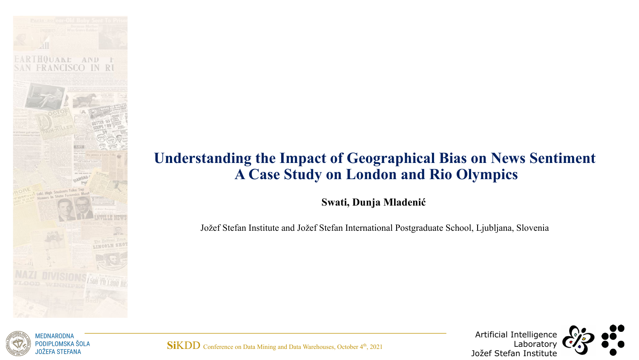

#### **Understanding the Impact of Geographical Bias on News Sentiment A Case Study on London and Rio Olympics**

**Swati, Dunja Mladenić**

Jožef Stefan Institute and Jožef Stefan International Postgraduate School, Ljubljana, Slovenia



**MEDNARODNA** PODIPLOMSKA ŠOLA JOŽEFA STEFANA

SiKDD Conference on Data Mining and Data Warehouses, October 4<sup>th</sup>, 2021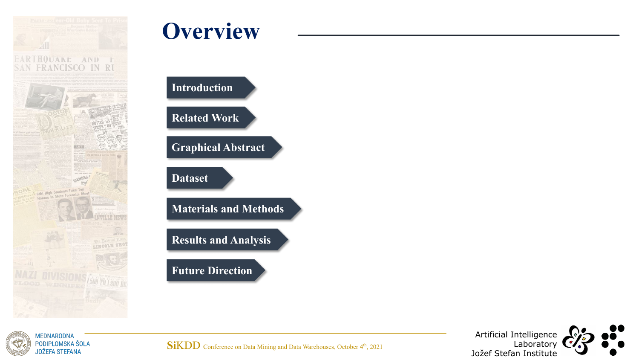

# **Overview**

**Related Work Introduction**

**Graphical Abstract**

**Dataset**

**Materials and Methods**

**Results and Analysis**

**Future Direction**



**MEDNARODNA** PODIPLOMSKA ŠOLA **JOŽEFA STEFANA** 

SiKDD Conference on Data Mining and Data Warehouses, October 4<sup>th</sup>, 2021

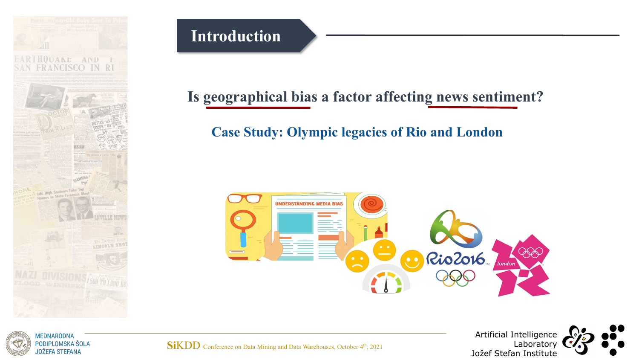

PODIPLOMSKA ŠOLA **JOŽEFA STEFANA** 

#### **Introduction**

## **Is geographical bias a factor affecting news sentiment?**

#### **Case Study: Olympic legacies of Rio and London**





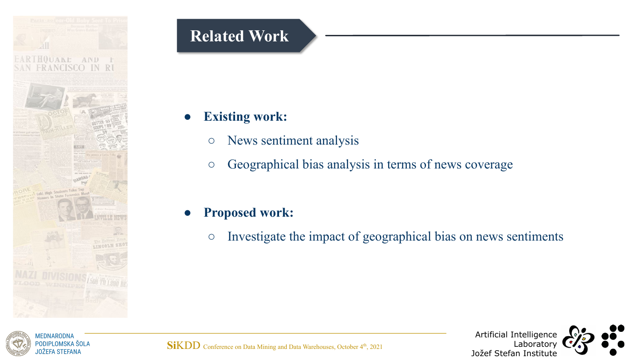

## **Related Work**

#### **Existing work:**

- News sentiment analysis
- Geographical bias analysis in terms of news coverage

#### ● **Proposed work:**

○ Investigate the impact of geographical bias on news sentiments

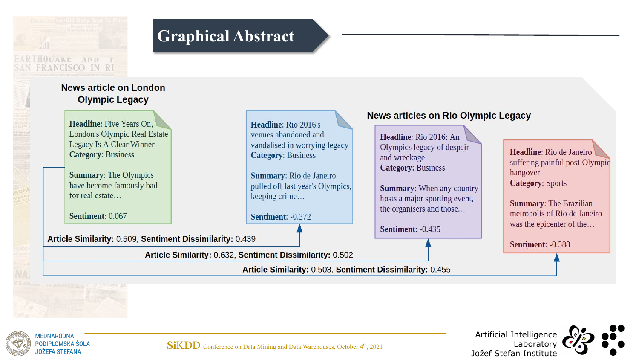





**SiKDD** Conference on Data Mining and Data Warehouses, October 4<sup>th</sup>, 2021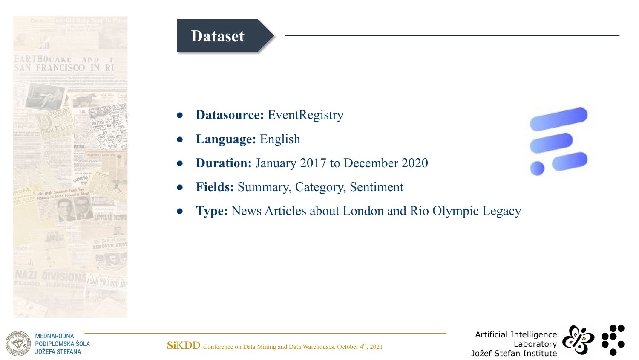

## **Dataset**

- **Datasource:** EventRegistry
- **Language:** English
- **Duration:** January 2017 to December 2020
- **Fields:** Summary, Category, Sentiment
- Type: News Articles about London and Rio Olympic Legacy





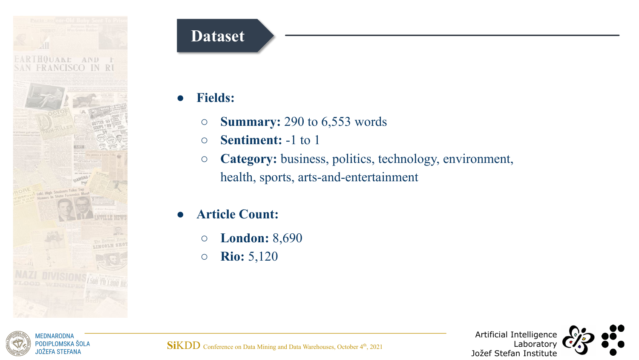

**MEDNARODNA** PODIPLOMSKA ŠOLA JOŽEFA STEFANA

## **Dataset**

- **Fields:**
	- **Summary:** 290 to 6,553 words
	- **Sentiment:** -1 to 1
	- **Category:** business, politics, technology, environment, health, sports, arts-and-entertainment
- **● Article Count:** 
	- **○ London:** 8,690
	- **○ Rio:** 5,120



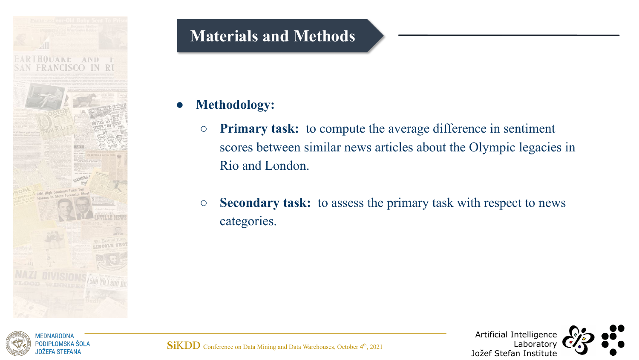

## **Materials and Methods**

#### ● **Methodology:**

- **○ Primary task:** to compute the average difference in sentiment scores between similar news articles about the Olympic legacies in Rio and London.
- **Secondary task:** to assess the primary task with respect to news categories.



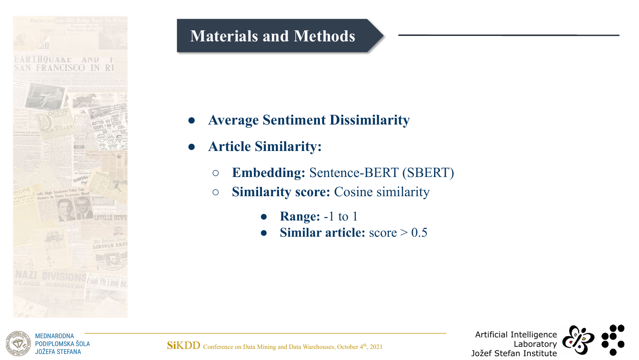

## **Materials and Methods**

- **● Average Sentiment Dissimilarity**
- **● Article Similarity:**
	- **Embedding:** Sentence-BERT (SBERT)
	- **Similarity score:** Cosine similarity
		- **Range:** -1 to 1
		- **Similar article:** score > 0.5





JOŽEFA STEFANA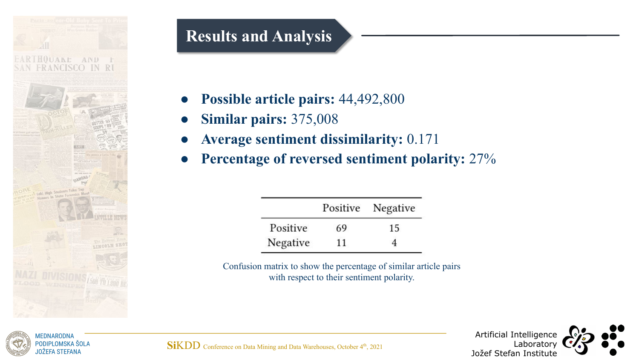

MEDNARODNA PODIPLOMSKA ŠOLA JOŽEFA STEFANA

## **Results and Analysis**

- **● Possible article pairs:** 44,492,800
- **● Similar pairs:** 375,008
- **Average sentiment dissimilarity:** 0.171
- **● Percentage of reversed sentiment polarity:** 27%

|          |    | Positive Negative |
|----------|----|-------------------|
| Positive | 69 | 15                |
| Negative | 11 |                   |

Confusion matrix to show the percentage of similar article pairs with respect to their sentiment polarity.



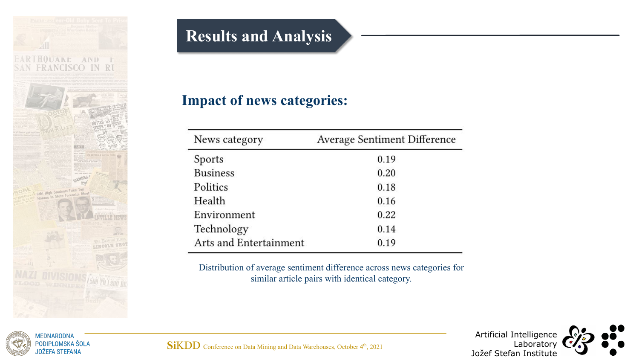

## **Results and Analysis**

#### **Impact of news categories:**

| News category          | <b>Average Sentiment Difference</b> |
|------------------------|-------------------------------------|
| Sports                 | 0.19                                |
| <b>Business</b>        | 0.20                                |
| Politics               | 0.18                                |
| Health                 | 0.16                                |
| Environment            | 0.22                                |
| Technology             | 0.14                                |
| Arts and Entertainment | 0.19                                |

Distribution of average sentiment difference across news categories for similar article pairs with identical category.



**MEDNARODNA** PODIPLOMSKA ŠOLA **JOŽEFA STEFANA** 

SiKDD Conference on Data Mining and Data Warehouses, October 4<sup>th</sup>, 2021

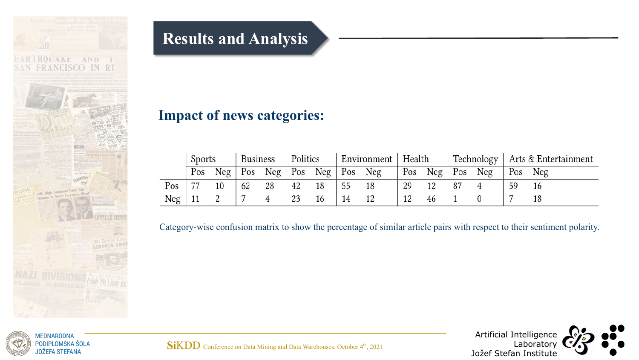

## **Results and Analysis**

#### **Impact of news categories:**

|          | Sports |                                   | <b>Business</b> |    | Politics |    | Environment   Health |    |    |                               |  |  | Technology   Arts & Entertainment |     |
|----------|--------|-----------------------------------|-----------------|----|----------|----|----------------------|----|----|-------------------------------|--|--|-----------------------------------|-----|
|          | Pos    | Neg   Pos Neg   Pos Neg   Pos Neg |                 |    |          |    |                      |    |    | Pos $Neg \mid Pos \text{Neg}$ |  |  | Pos                               | Neg |
| Pos      | 77     | 10                                | 62              | 28 | 42       | 18 | 55                   | 18 | 29 | 12                            |  |  |                                   |     |
| $Neg$ 11 |        |                                   |                 |    |          | 16 | 14                   | 12 |    | 46                            |  |  |                                   |     |

Category-wise confusion matrix to show the percentage of similar article pairs with respect to their sentiment polarity.



**MEDNARODNA** PODIPLOMSKA ŠOLA **JOŽEFA STEFANA** 

SiKDD Conference on Data Mining and Data Warehouses, October 4<sup>th</sup>, 2021

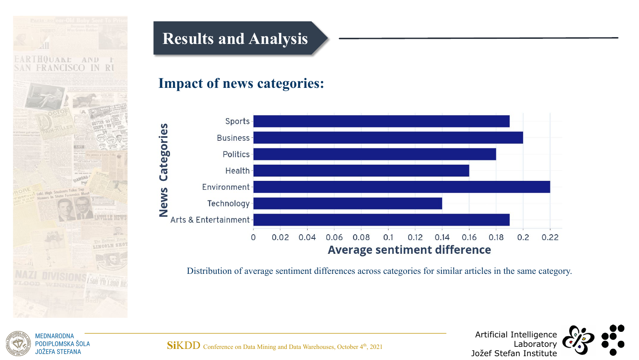

## **Results and Analysis**

#### **Impact of news categories:**



Distribution of average sentiment differences across categories for similar articles in the same category.





SiKDD Conference on Data Mining and Data Warehouses, October 4<sup>th</sup>, 2021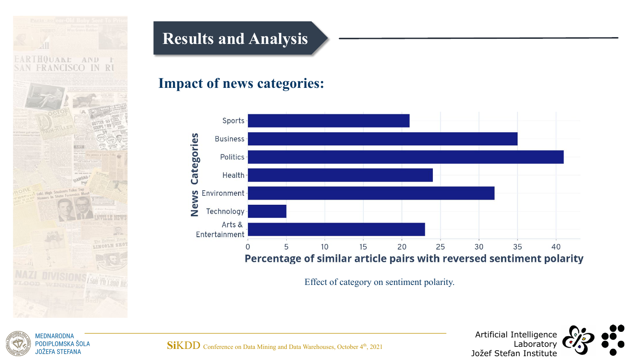

PODIPLOMSKA ŠOLA **JOŽEFA STEFANA** 

## **Results and Analysis**

#### **Impact of news categories:**



Effect of category on sentiment polarity.



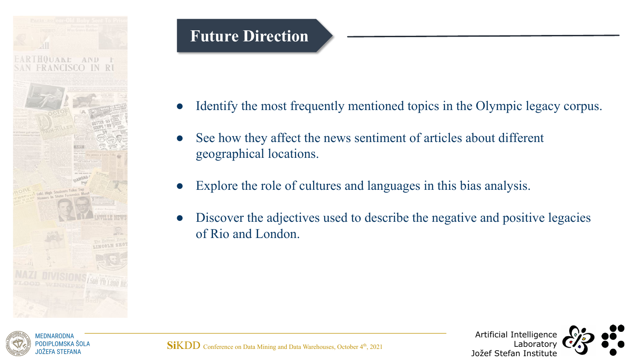

## **Future Direction**

- Identify the most frequently mentioned topics in the Olympic legacy corpus.
- See how they affect the news sentiment of articles about different geographical locations.
- Explore the role of cultures and languages in this bias analysis.
- Discover the adjectives used to describe the negative and positive legacies of Rio and London.



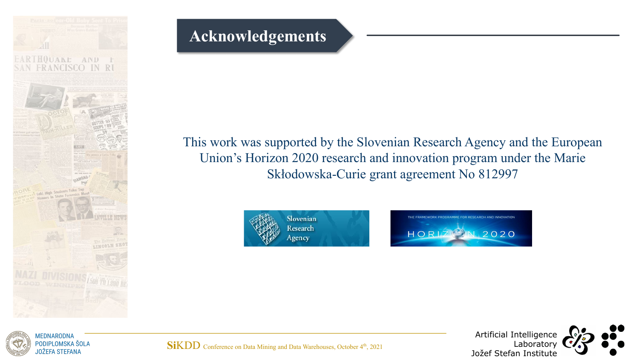

### **Acknowledgements**

#### This work was supported by the Slovenian Research Agency and the European Union's Horizon 2020 research and innovation program under the Marie Skłodowska-Curie grant agreement No 812997







**SiKDD** Conference on Data Mining and Data Warehouses, October 4<sup>th</sup>, 2021